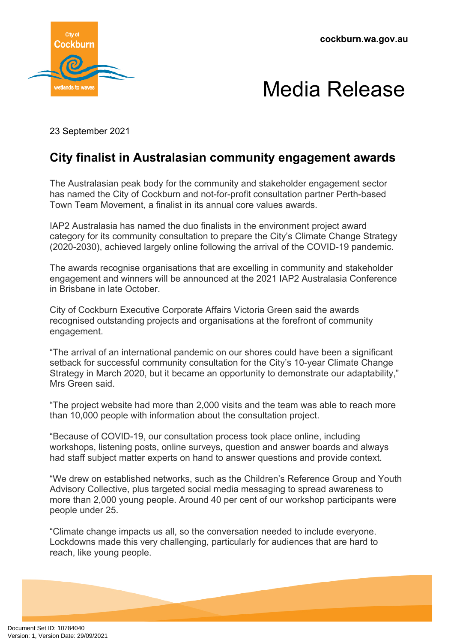**cockburn.wa.gov.au**





23 September 2021

## **City finalist in Australasian community engagement awards**

The Australasian peak body for the community and stakeholder engagement sector has named the City of Cockburn and not-for-profit consultation partner Perth-based Town Team Movement, a finalist in its annual core values awards.

IAP2 Australasia has named the duo finalists in the environment project award category for its community consultation to prepare the City's Climate Change Strategy (2020-2030), achieved largely online following the arrival of the COVID-19 pandemic.

The awards recognise organisations that are excelling in community and stakeholder engagement and winners will be announced at the 2021 IAP2 Australasia Conference in Brisbane in late October.

City of Cockburn Executive Corporate Affairs Victoria Green said the awards recognised outstanding projects and organisations at the forefront of community engagement.

"The arrival of an international pandemic on our shores could have been a significant setback for successful community consultation for the City's 10-year Climate Change Strategy in March 2020, but it became an opportunity to demonstrate our adaptability," Mrs Green said.

"The project website had more than 2,000 visits and the team was able to reach more than 10,000 people with information about the consultation project.

"Because of COVID-19, our consultation process took place online, including workshops, listening posts, online surveys, question and answer boards and always had staff subject matter experts on hand to answer questions and provide context.

"We drew on established networks, such as the Children's Reference Group and Youth Advisory Collective, plus targeted social media messaging to spread awareness to more than 2,000 young people. Around 40 per cent of our workshop participants were people under 25.

"Climate change impacts us all, so the conversation needed to include everyone. Lockdowns made this very challenging, particularly for audiences that are hard to reach, like young people.

Document Set ID: 10784040<br>Version: 1, Version Date: 29/09/2021